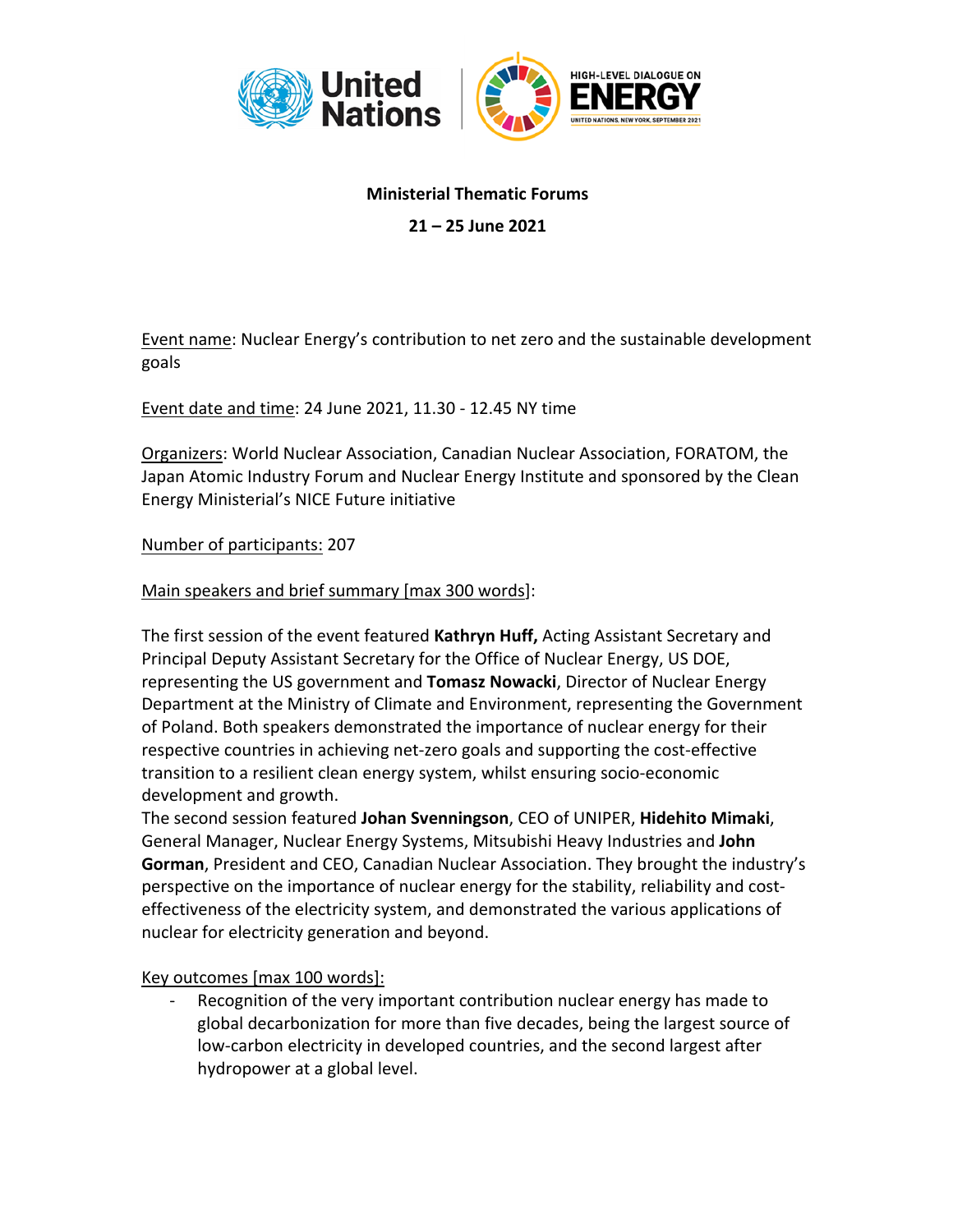

## **Ministerial Thematic Forums**

**21 – 25 June 2021**

Event name: Nuclear Energy's contribution to net zero and the sustainable development goals

Event date and time: 24 June 2021, 11.30 - 12.45 NY time

Organizers: World Nuclear Association, Canadian Nuclear Association, FORATOM, the Japan Atomic Industry Forum and Nuclear Energy Institute and sponsored by the Clean Energy Ministerial's NICE Future initiative

## Number of participants: 207

Main speakers and brief summary [max 300 words]:

The first session of the event featured **Kathryn Huff,** Acting Assistant Secretary and Principal Deputy Assistant Secretary for the Office of Nuclear Energy, US DOE, representing the US government and **Tomasz Nowacki**, Director of Nuclear Energy Department at the Ministry of Climate and Environment, representing the Government of Poland. Both speakers demonstrated the importance of nuclear energy for their respective countries in achieving net-zero goals and supporting the cost-effective transition to a resilient clean energy system, whilst ensuring socio-economic development and growth.

The second session featured **Johan Svenningson**, CEO of UNIPER, **Hidehito Mimaki**, General Manager, Nuclear Energy Systems, Mitsubishi Heavy Industries and **John Gorman**, President and CEO, Canadian Nuclear Association. They brought the industry's perspective on the importance of nuclear energy for the stability, reliability and costeffectiveness of the electricity system, and demonstrated the various applications of nuclear for electricity generation and beyond.

Key outcomes [max 100 words]:

Recognition of the very important contribution nuclear energy has made to global decarbonization for more than five decades, being the largest source of low-carbon electricity in developed countries, and the second largest after hydropower at a global level.